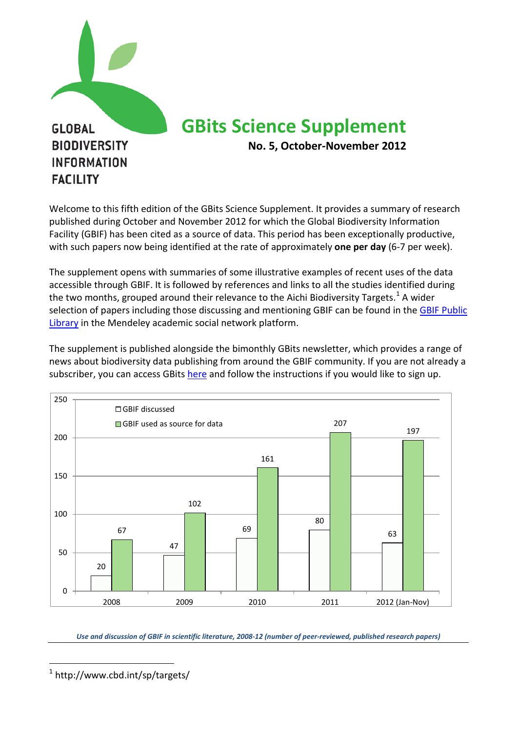

Welcome to this fifth edition of the GBits Science Supplement. It provides a summary of research published during October and November 2012 for which the Global Biodiversity Information Facility (GBIF) has been cited as a source of data. This period has been exceptionally productive, with such papers now being identified at the rate of approximately **one per day** (6-7 per week).

The supplement opens with summaries of some illustrative examples of recent uses of the data accessible through GBIF. It is followed by references and links to all the studies identified during the two months, grouped around their relevance to the Aichi Biodiversity Targets.<sup>[1](#page-0-0)</sup> A wider selection of papers including those discussing and mentioning GBIF can be found in the GBIF Public [Library](http://www.mendeley.com/groups/1068301/gbif-public-library/) in the Mendeley academic social network platform.

The supplement is published alongside the bimonthly GBits newsletter, which provides a range of news about biodiversity data publishing from around the GBIF community. If you are not already a subscriber, you can access GBit[s here](http://www.gbif.org/communications/resources/newsletters/) and follow the instructions if you would like to sign up.



*Use and discussion of GBIF in scientific literature, 2008-12 (number of peer-reviewed, published research papers)*

<span id="page-0-0"></span> <sup>1</sup> http://www.cbd.int/sp/targets/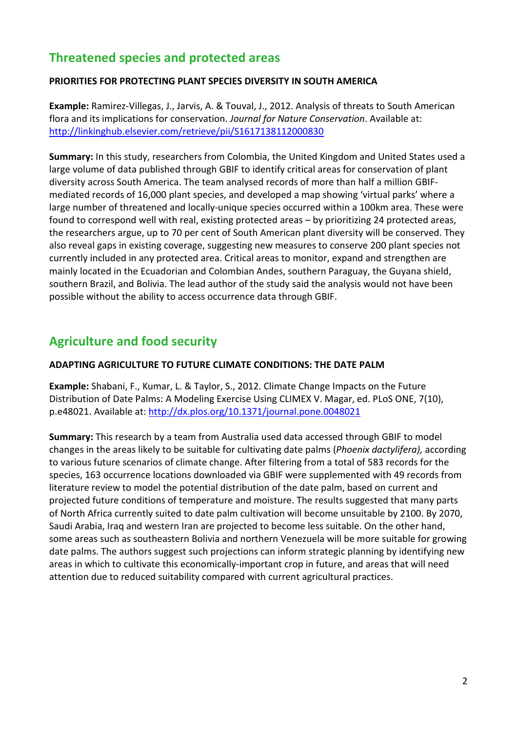# **Threatened species and protected areas**

#### **PRIORITIES FOR PROTECTING PLANT SPECIES DIVERSITY IN SOUTH AMERICA**

**Example:** Ramirez-Villegas, J., Jarvis, A. & Touval, J., 2012. Analysis of threats to South American flora and its implications for conservation. *Journal for Nature Conservation*. Available at: <http://linkinghub.elsevier.com/retrieve/pii/S1617138112000830>

**Summary:** In this study, researchers from Colombia, the United Kingdom and United States used a large volume of data published through GBIF to identify critical areas for conservation of plant diversity across South America. The team analysed records of more than half a million GBIFmediated records of 16,000 plant species, and developed a map showing 'virtual parks' where a large number of threatened and locally-unique species occurred within a 100km area. These were found to correspond well with real, existing protected areas – by prioritizing 24 protected areas, the researchers argue, up to 70 per cent of South American plant diversity will be conserved. They also reveal gaps in existing coverage, suggesting new measures to conserve 200 plant species not currently included in any protected area. Critical areas to monitor, expand and strengthen are mainly located in the Ecuadorian and Colombian Andes, southern Paraguay, the Guyana shield, southern Brazil, and Bolivia. The lead author of the study said the analysis would not have been possible without the ability to access occurrence data through GBIF.

# **Agriculture and food security**

#### **ADAPTING AGRICULTURE TO FUTURE CLIMATE CONDITIONS: THE DATE PALM**

**Example:** Shabani, F., Kumar, L. & Taylor, S., 2012. Climate Change Impacts on the Future Distribution of Date Palms: A Modeling Exercise Using CLIMEX V. Magar, ed. PLoS ONE, 7(10), p.e48021. Available at:<http://dx.plos.org/10.1371/journal.pone.0048021>

**Summary:** This research by a team from Australia used data accessed through GBIF to model changes in the areas likely to be suitable for cultivating date palms (*Phoenix dactylifera),* according to various future scenarios of climate change. After filtering from a total of 583 records for the species, 163 occurrence locations downloaded via GBIF were supplemented with 49 records from literature review to model the potential distribution of the date palm, based on current and projected future conditions of temperature and moisture. The results suggested that many parts of North Africa currently suited to date palm cultivation will become unsuitable by 2100. By 2070, Saudi Arabia, Iraq and western Iran are projected to become less suitable. On the other hand, some areas such as southeastern Bolivia and northern Venezuela will be more suitable for growing date palms. The authors suggest such projections can inform strategic planning by identifying new areas in which to cultivate this economically-important crop in future, and areas that will need attention due to reduced suitability compared with current agricultural practices.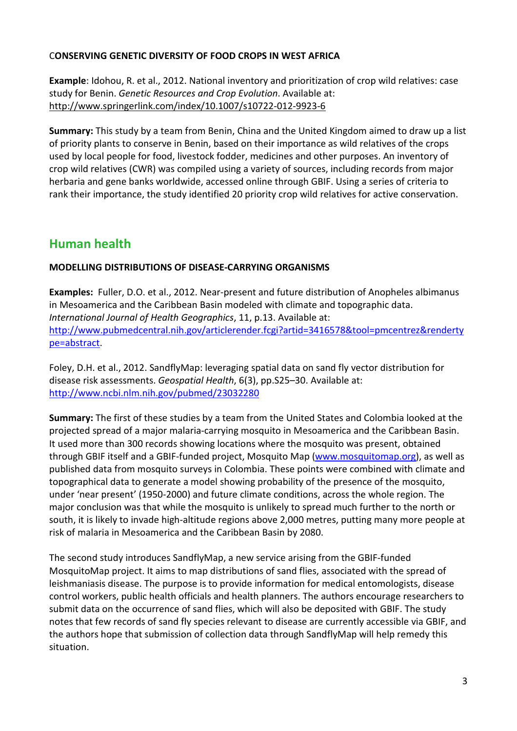#### C**ONSERVING GENETIC DIVERSITY OF FOOD CROPS IN WEST AFRICA**

**Example**: Idohou, R. et al., 2012. National inventory and prioritization of crop wild relatives: case study for Benin. *Genetic Resources and Crop Evolution*. Available at: <http://www.springerlink.com/index/10.1007/s10722-012-9923-6>

**Summary:** This study by a team from Benin, China and the United Kingdom aimed to draw up a list of priority plants to conserve in Benin, based on their importance as wild relatives of the crops used by local people for food, livestock fodder, medicines and other purposes. An inventory of crop wild relatives (CWR) was compiled using a variety of sources, including records from major herbaria and gene banks worldwide, accessed online through GBIF. Using a series of criteria to rank their importance, the study identified 20 priority crop wild relatives for active conservation.

# **Human health**

#### **MODELLING DISTRIBUTIONS OF DISEASE-CARRYING ORGANISMS**

**Examples:** Fuller, D.O. et al., 2012. Near-present and future distribution of Anopheles albimanus in Mesoamerica and the Caribbean Basin modeled with climate and topographic data. *International Journal of Health Geographics*, 11, p.13. Available at: [http://www.pubmedcentral.nih.gov/articlerender.fcgi?artid=3416578&tool=pmcentrez&renderty](http://www.pubmedcentral.nih.gov/articlerender.fcgi?artid=3416578&tool=pmcentrez&rendertype=abstract) [pe=abstract.](http://www.pubmedcentral.nih.gov/articlerender.fcgi?artid=3416578&tool=pmcentrez&rendertype=abstract)

Foley, D.H. et al., 2012. SandflyMap: leveraging spatial data on sand fly vector distribution for disease risk assessments. *Geospatial Health*, 6(3), pp.S25–30. Available at: <http://www.ncbi.nlm.nih.gov/pubmed/23032280>

**Summary:** The first of these studies by a team from the United States and Colombia looked at the projected spread of a major malaria-carrying mosquito in Mesoamerica and the Caribbean Basin. It used more than 300 records showing locations where the mosquito was present, obtained through GBIF itself and a GBIF-funded project, Mosquito Map [\(www.mosquitomap.org\)](http://www.mosquitomap.org/), as well as published data from mosquito surveys in Colombia. These points were combined with climate and topographical data to generate a model showing probability of the presence of the mosquito, under 'near present' (1950-2000) and future climate conditions, across the whole region. The major conclusion was that while the mosquito is unlikely to spread much further to the north or south, it is likely to invade high-altitude regions above 2,000 metres, putting many more people at risk of malaria in Mesoamerica and the Caribbean Basin by 2080.

The second study introduces SandflyMap, a new service arising from the GBIF-funded MosquitoMap project. It aims to map distributions of sand flies, associated with the spread of leishmaniasis disease. The purpose is to provide information for medical entomologists, disease control workers, public health officials and health planners. The authors encourage researchers to submit data on the occurrence of sand flies, which will also be deposited with GBIF. The study notes that few records of sand fly species relevant to disease are currently accessible via GBIF, and the authors hope that submission of collection data through SandflyMap will help remedy this situation.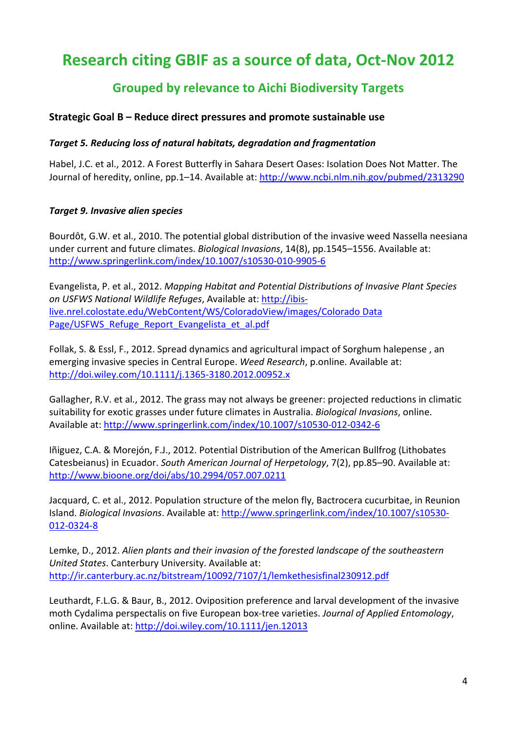# **Research citing GBIF as a source of data, Oct-Nov 2012**

# **Grouped by relevance to Aichi Biodiversity Targets**

#### **Strategic Goal B – Reduce direct pressures and promote sustainable use**

#### *Target 5. Reducing loss of natural habitats, degradation and fragmentation*

Habel, J.C. et al., 2012. A Forest Butterfly in Sahara Desert Oases: Isolation Does Not Matter. The Journal of heredity, online, pp.1-14. Available at[: http://www.ncbi.nlm.nih.gov/pubmed/2313290](http://www.ncbi.nlm.nih.gov/pubmed/2313290)

#### *Target 9. Invasive alien species*

Bourdôt, G.W. et al., 2010. The potential global distribution of the invasive weed Nassella neesiana under current and future climates. *Biological Invasions*, 14(8), pp.1545–1556. Available at: <http://www.springerlink.com/index/10.1007/s10530-010-9905-6>

Evangelista, P. et al., 2012. *Mapping Habitat and Potential Distributions of Invasive Plant Species on USFWS National Wildlife Refuges*, Available at: [http://ibis](http://ibis-live.nrel.colostate.edu/WebContent/WS/ColoradoView/images/Colorado%20Data%20Page/USFWS_Refuge_Report_Evangelista_et_al.pdf)[live.nrel.colostate.edu/WebContent/WS/ColoradoView/images/Colorado Data](http://ibis-live.nrel.colostate.edu/WebContent/WS/ColoradoView/images/Colorado%20Data%20Page/USFWS_Refuge_Report_Evangelista_et_al.pdf)  Page/USFWS Refuge Report Evangelista et al.pdf

Follak, S. & Essl, F., 2012. Spread dynamics and agricultural impact of Sorghum halepense , an emerging invasive species in Central Europe. *Weed Research*, p.online. Available at: <http://doi.wiley.com/10.1111/j.1365-3180.2012.00952.x>

Gallagher, R.V. et al., 2012. The grass may not always be greener: projected reductions in climatic suitability for exotic grasses under future climates in Australia. *Biological Invasions*, online. Available at:<http://www.springerlink.com/index/10.1007/s10530-012-0342-6>

Iñiguez, C.A. & Morejón, F.J., 2012. Potential Distribution of the American Bullfrog (Lithobates Catesbeianus) in Ecuador. *South American Journal of Herpetology*, 7(2), pp.85–90. Available at: <http://www.bioone.org/doi/abs/10.2994/057.007.0211>

Jacquard, C. et al., 2012. Population structure of the melon fly, Bactrocera cucurbitae, in Reunion Island. *Biological Invasions*. Available at: [http://www.springerlink.com/index/10.1007/s10530-](http://www.springerlink.com/index/10.1007/s10530-012-0324-8) [012-0324-8](http://www.springerlink.com/index/10.1007/s10530-012-0324-8)

Lemke, D., 2012. *Alien plants and their invasion of the forested landscape of the southeastern United States*. Canterbury University. Available at: <http://ir.canterbury.ac.nz/bitstream/10092/7107/1/lemkethesisfinal230912.pdf>

Leuthardt, F.L.G. & Baur, B., 2012. Oviposition preference and larval development of the invasive moth Cydalima perspectalis on five European box-tree varieties. *Journal of Applied Entomology*, online. Available at:<http://doi.wiley.com/10.1111/jen.12013>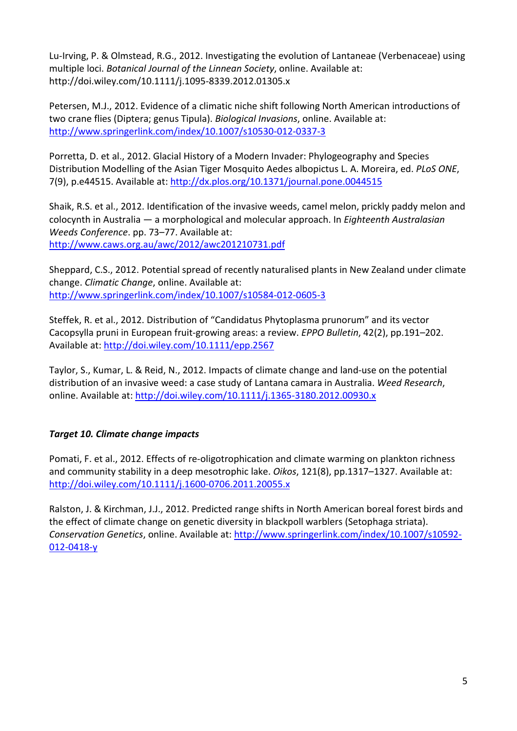Lu-Irving, P. & Olmstead, R.G., 2012. Investigating the evolution of Lantaneae (Verbenaceae) using multiple loci. *Botanical Journal of the Linnean Society*, online. Available at: http://doi.wiley.com/10.1111/j.1095-8339.2012.01305.x

Petersen, M.J., 2012. Evidence of a climatic niche shift following North American introductions of two crane flies (Diptera; genus Tipula). *Biological Invasions*, online. Available at: <http://www.springerlink.com/index/10.1007/s10530-012-0337-3>

Porretta, D. et al., 2012. Glacial History of a Modern Invader: Phylogeography and Species Distribution Modelling of the Asian Tiger Mosquito Aedes albopictus L. A. Moreira, ed. *PLoS ONE*, 7(9), p.e44515. Available at:<http://dx.plos.org/10.1371/journal.pone.0044515>

Shaik, R.S. et al., 2012. Identification of the invasive weeds, camel melon, prickly paddy melon and colocynth in Australia — a morphological and molecular approach. In *Eighteenth Australasian Weeds Conference*. pp. 73–77. Available at: <http://www.caws.org.au/awc/2012/awc201210731.pdf>

Sheppard, C.S., 2012. Potential spread of recently naturalised plants in New Zealand under climate change. *Climatic Change*, online. Available at: <http://www.springerlink.com/index/10.1007/s10584-012-0605-3>

Steffek, R. et al., 2012. Distribution of "Candidatus Phytoplasma prunorum" and its vector Cacopsylla pruni in European fruit-growing areas: a review. *EPPO Bulletin*, 42(2), pp.191–202. Available at: http://doi.wiley.com/10.1111/epp.2567

Taylor, S., Kumar, L. & Reid, N., 2012. Impacts of climate change and land-use on the potential distribution of an invasive weed: a case study of Lantana camara in Australia. *Weed Research*, online. Available at:<http://doi.wiley.com/10.1111/j.1365-3180.2012.00930.x>

## *Target 10. Climate change impacts*

Pomati, F. et al., 2012. Effects of re-oligotrophication and climate warming on plankton richness and community stability in a deep mesotrophic lake. *Oikos*, 121(8), pp.1317–1327. Available at: <http://doi.wiley.com/10.1111/j.1600-0706.2011.20055.x>

Ralston, J. & Kirchman, J.J., 2012. Predicted range shifts in North American boreal forest birds and the effect of climate change on genetic diversity in blackpoll warblers (Setophaga striata). *Conservation Genetics*, online. Available at: [http://www.springerlink.com/index/10.1007/s10592-](http://www.springerlink.com/index/10.1007/s10592-012-0418-y) [012-0418-y](http://www.springerlink.com/index/10.1007/s10592-012-0418-y)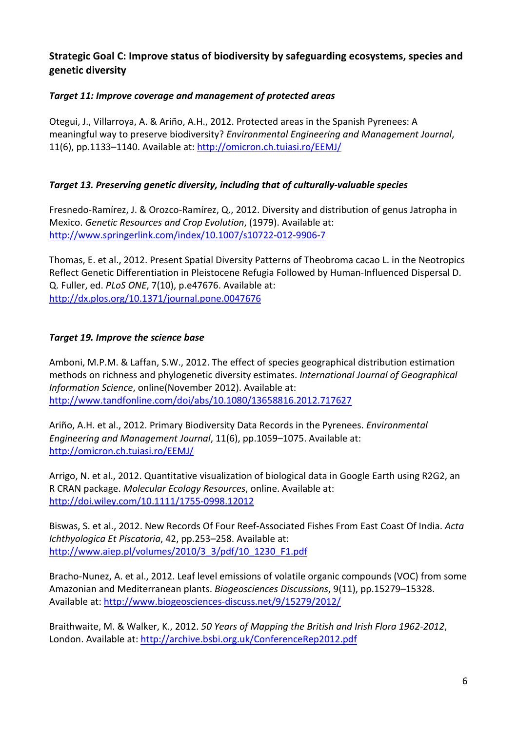## **Strategic Goal C: Improve status of biodiversity by safeguarding ecosystems, species and genetic diversity**

### *Target 11: Improve coverage and management of protected areas*

Otegui, J., Villarroya, A. & Ariño, A.H., 2012. Protected areas in the Spanish Pyrenees: A meaningful way to preserve biodiversity? *Environmental Engineering and Management Journal*, 11(6), pp.1133–1140. Available at[: http://omicron.ch.tuiasi.ro/EEMJ/](http://omicron.ch.tuiasi.ro/EEMJ/)

#### *Target 13. Preserving genetic diversity, including that of culturally-valuable species*

Fresnedo-Ramírez, J. & Orozco-Ramírez, Q., 2012. Diversity and distribution of genus Jatropha in Mexico. *Genetic Resources and Crop Evolution*, (1979). Available at: <http://www.springerlink.com/index/10.1007/s10722-012-9906-7>

Thomas, E. et al., 2012. Present Spatial Diversity Patterns of Theobroma cacao L. in the Neotropics Reflect Genetic Differentiation in Pleistocene Refugia Followed by Human-Influenced Dispersal D. Q. Fuller, ed. *PLoS ONE*, 7(10), p.e47676. Available at: <http://dx.plos.org/10.1371/journal.pone.0047676>

#### *Target 19. Improve the science base*

Amboni, M.P.M. & Laffan, S.W., 2012. The effect of species geographical distribution estimation methods on richness and phylogenetic diversity estimates. *International Journal of Geographical Information Science*, online(November 2012). Available at: <http://www.tandfonline.com/doi/abs/10.1080/13658816.2012.717627>

Ariño, A.H. et al., 2012. Primary Biodiversity Data Records in the Pyrenees. *Environmental Engineering and Management Journal*, 11(6), pp.1059–1075. Available at: <http://omicron.ch.tuiasi.ro/EEMJ/>

Arrigo, N. et al., 2012. Quantitative visualization of biological data in Google Earth using R2G2, an R CRAN package. *Molecular Ecology Resources*, online. Available at: <http://doi.wiley.com/10.1111/1755-0998.12012>

Biswas, S. et al., 2012. New Records Of Four Reef-Associated Fishes From East Coast Of India. *Acta Ichthyologica Et Piscatoria*, 42, pp.253–258. Available at: [http://www.aiep.pl/volumes/2010/3\\_3/pdf/10\\_1230\\_F1.pdf](http://www.aiep.pl/volumes/2010/3_3/pdf/10_1230_F1.pdf)

Bracho-Nunez, A. et al., 2012. Leaf level emissions of volatile organic compounds (VOC) from some Amazonian and Mediterranean plants. *Biogeosciences Discussions*, 9(11), pp.15279–15328. Available at:<http://www.biogeosciences-discuss.net/9/15279/2012/>

Braithwaite, M. & Walker, K., 2012. *50 Years of Mapping the British and Irish Flora 1962-2012*, London. Available at:<http://archive.bsbi.org.uk/ConferenceRep2012.pdf>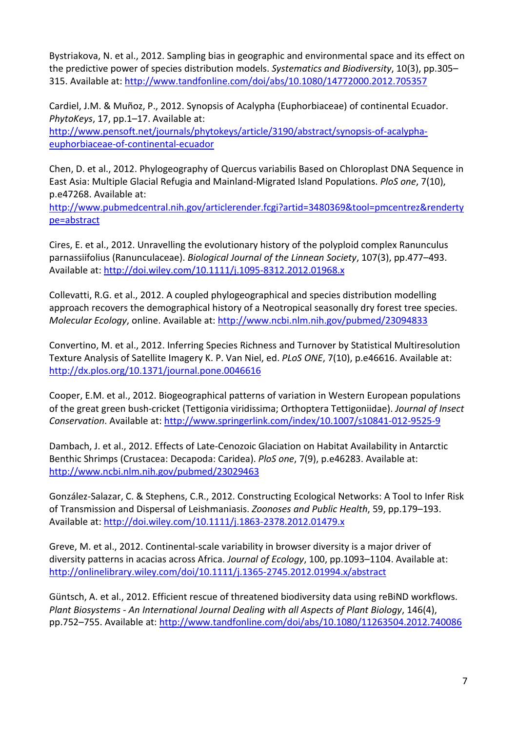Bystriakova, N. et al., 2012. Sampling bias in geographic and environmental space and its effect on the predictive power of species distribution models. *Systematics and Biodiversity*, 10(3), pp.305– 315. Available at:<http://www.tandfonline.com/doi/abs/10.1080/14772000.2012.705357>

Cardiel, J.M. & Muñoz, P., 2012. Synopsis of Acalypha (Euphorbiaceae) of continental Ecuador. *PhytoKeys*, 17, pp.1–17. Available at:

[http://www.pensoft.net/journals/phytokeys/article/3190/abstract/synopsis-of-acalypha](http://www.pensoft.net/journals/phytokeys/article/3190/abstract/synopsis-of-acalypha-euphorbiaceae-of-continental-ecuador)[euphorbiaceae-of-continental-ecuador](http://www.pensoft.net/journals/phytokeys/article/3190/abstract/synopsis-of-acalypha-euphorbiaceae-of-continental-ecuador)

Chen, D. et al., 2012. Phylogeography of Quercus variabilis Based on Chloroplast DNA Sequence in East Asia: Multiple Glacial Refugia and Mainland-Migrated Island Populations. *PloS one*, 7(10), p.e47268. Available at:

[http://www.pubmedcentral.nih.gov/articlerender.fcgi?artid=3480369&tool=pmcentrez&renderty](http://www.pubmedcentral.nih.gov/articlerender.fcgi?artid=3480369&tool=pmcentrez&rendertype=abstract) [pe=abstract](http://www.pubmedcentral.nih.gov/articlerender.fcgi?artid=3480369&tool=pmcentrez&rendertype=abstract)

Cires, E. et al., 2012. Unravelling the evolutionary history of the polyploid complex Ranunculus parnassiifolius (Ranunculaceae). *Biological Journal of the Linnean Society*, 107(3), pp.477–493. Available at:<http://doi.wiley.com/10.1111/j.1095-8312.2012.01968.x>

Collevatti, R.G. et al., 2012. A coupled phylogeographical and species distribution modelling approach recovers the demographical history of a Neotropical seasonally dry forest tree species. *Molecular Ecology*, online. Available at:<http://www.ncbi.nlm.nih.gov/pubmed/23094833>

Convertino, M. et al., 2012. Inferring Species Richness and Turnover by Statistical Multiresolution Texture Analysis of Satellite Imagery K. P. Van Niel, ed. *PLoS ONE*, 7(10), p.e46616. Available at: <http://dx.plos.org/10.1371/journal.pone.0046616>

Cooper, E.M. et al., 2012. Biogeographical patterns of variation in Western European populations of the great green bush-cricket (Tettigonia viridissima; Orthoptera Tettigoniidae). *Journal of Insect Conservation*. Available at:<http://www.springerlink.com/index/10.1007/s10841-012-9525-9>

Dambach, J. et al., 2012. Effects of Late-Cenozoic Glaciation on Habitat Availability in Antarctic Benthic Shrimps (Crustacea: Decapoda: Caridea). *PloS one*, 7(9), p.e46283. Available at: <http://www.ncbi.nlm.nih.gov/pubmed/23029463>

González-Salazar, C. & Stephens, C.R., 2012. Constructing Ecological Networks: A Tool to Infer Risk of Transmission and Dispersal of Leishmaniasis. *Zoonoses and Public Health*, 59, pp.179–193. Available at:<http://doi.wiley.com/10.1111/j.1863-2378.2012.01479.x>

Greve, M. et al., 2012. Continental-scale variability in browser diversity is a major driver of diversity patterns in acacias across Africa. *Journal of Ecology*, 100, pp.1093–1104. Available at: <http://onlinelibrary.wiley.com/doi/10.1111/j.1365-2745.2012.01994.x/abstract>

Güntsch, A. et al., 2012. Efficient rescue of threatened biodiversity data using reBiND workflows. *Plant Biosystems - An International Journal Dealing with all Aspects of Plant Biology*, 146(4), pp.752–755. Available at:<http://www.tandfonline.com/doi/abs/10.1080/11263504.2012.740086>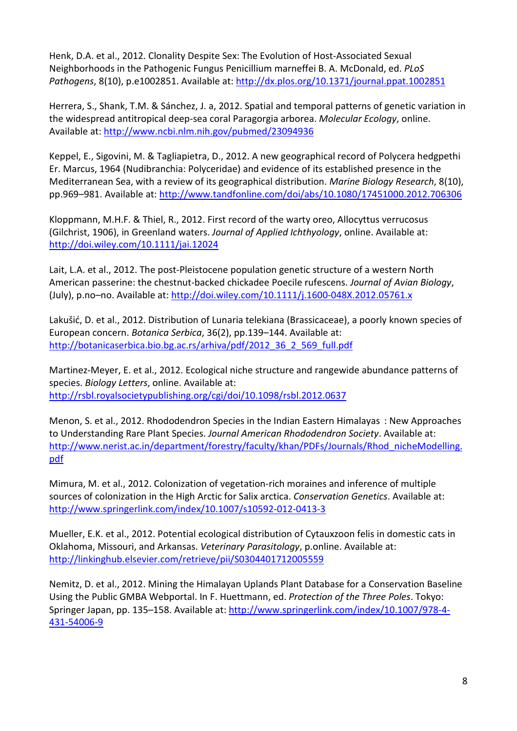Henk, D.A. et al., 2012. Clonality Despite Sex: The Evolution of Host-Associated Sexual Neighborhoods in the Pathogenic Fungus Penicillium marneffei B. A. McDonald, ed. *PLoS Pathogens*, 8(10), p.e1002851. Available at:<http://dx.plos.org/10.1371/journal.ppat.1002851>

Herrera, S., Shank, T.M. & Sánchez, J. a, 2012. Spatial and temporal patterns of genetic variation in the widespread antitropical deep-sea coral Paragorgia arborea. *Molecular Ecology*, online. Available at:<http://www.ncbi.nlm.nih.gov/pubmed/23094936>

Keppel, E., Sigovini, M. & Tagliapietra, D., 2012. A new geographical record of Polycera hedgpethi Er. Marcus, 1964 (Nudibranchia: Polyceridae) and evidence of its established presence in the Mediterranean Sea, with a review of its geographical distribution. *Marine Biology Research*, 8(10), pp.969–981. Available at:<http://www.tandfonline.com/doi/abs/10.1080/17451000.2012.706306>

Kloppmann, M.H.F. & Thiel, R., 2012. First record of the warty oreo, Allocyttus verrucosus (Gilchrist, 1906), in Greenland waters. *Journal of Applied Ichthyology*, online. Available at: <http://doi.wiley.com/10.1111/jai.12024>

Lait, L.A. et al., 2012. The post-Pleistocene population genetic structure of a western North American passerine: the chestnut-backed chickadee Poecile rufescens. *Journal of Avian Biology*, (July), p.no–no. Available at:<http://doi.wiley.com/10.1111/j.1600-048X.2012.05761.x>

Lakušić, D. et al., 2012. Distribution of Lunaria telekiana (Brassicaceae), a poorly known species of European concern. *Botanica Serbica*, 36(2), pp.139–144. Available at: [http://botanicaserbica.bio.bg.ac.rs/arhiva/pdf/2012\\_36\\_2\\_569\\_full.pdf](http://botanicaserbica.bio.bg.ac.rs/arhiva/pdf/2012_36_2_569_full.pdf)

Martinez-Meyer, E. et al., 2012. Ecological niche structure and rangewide abundance patterns of species. *Biology Letters*, online. Available at: <http://rsbl.royalsocietypublishing.org/cgi/doi/10.1098/rsbl.2012.0637>

Menon, S. et al., 2012. Rhododendron Species in the Indian Eastern Himalayas : New Approaches to Understanding Rare Plant Species. *Journal American Rhododendron Society*. Available at: [http://www.nerist.ac.in/department/forestry/faculty/khan/PDFs/Journals/Rhod\\_nicheModelling.](http://www.nerist.ac.in/department/forestry/faculty/khan/PDFs/Journals/Rhod_nicheModelling.pdf) [pdf](http://www.nerist.ac.in/department/forestry/faculty/khan/PDFs/Journals/Rhod_nicheModelling.pdf)

Mimura, M. et al., 2012. Colonization of vegetation-rich moraines and inference of multiple sources of colonization in the High Arctic for Salix arctica. *Conservation Genetics*. Available at: <http://www.springerlink.com/index/10.1007/s10592-012-0413-3>

Mueller, E.K. et al., 2012. Potential ecological distribution of Cytauxzoon felis in domestic cats in Oklahoma, Missouri, and Arkansas. *Veterinary Parasitology*, p.online. Available at: <http://linkinghub.elsevier.com/retrieve/pii/S0304401712005559>

Nemitz, D. et al., 2012. Mining the Himalayan Uplands Plant Database for a Conservation Baseline Using the Public GMBA Webportal. In F. Huettmann, ed. *Protection of the Three Poles*. Tokyo: Springer Japan, pp. 135-158. Available at: [http://www.springerlink.com/index/10.1007/978-4-](http://www.springerlink.com/index/10.1007/978-4-431-54006-9) [431-54006-9](http://www.springerlink.com/index/10.1007/978-4-431-54006-9)